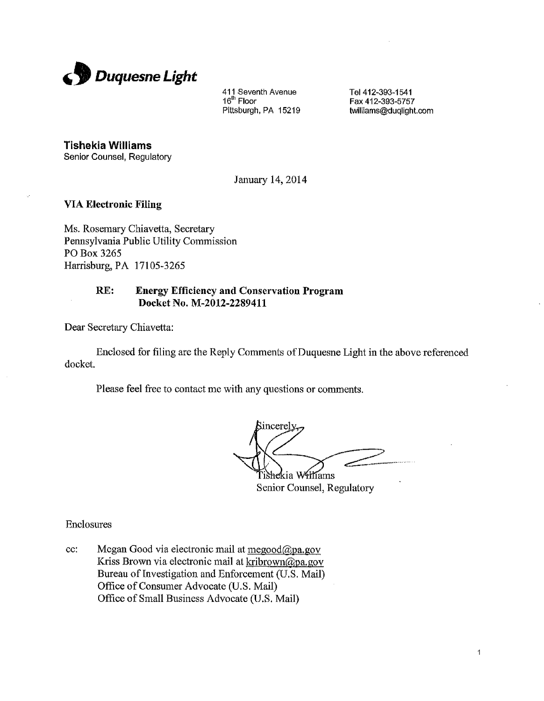

411 Seventh Avenue Tel 412-393-1541<br>16<sup>th</sup> Floor Tel Tel Tex 412-393-5757 16<sup>th</sup> Floor Fax 412-393-5757<br>Pittsburgh, PA 15219 **Fax 412-393-5757** 

Pittsburgh, PA **15219 twilliams@duglight.com**

**Tishekia Williams**

Senior Counsel, Regulatory

January 14, 2014

### **VIA Electronic Filing**

Ms. Rosemary Chiavetta, Secretary Pennsylvania Public Utility Commission PO Box 3265 Harrisburg, PA 17105-3265

### **RE: Energy Efficiency and Conservation Program Docket No. M-2012-2289411**

Dear Secretary Chiavetta:

Enclosed for filing are the Reply Comments of Duquesne Light in the above referenced docket.

Please feel free to contact me with any questions or comments.

incerely Fishekia Williams

Senior Counsel, Regulatory

Enclosures

cc: Megan Good via electronic mail at  $\text{meq}$ ood $\textcircled{a}$ pa.gov Kriss Brown via electronic mail at kribrown@pa.gov Bureau of Investigation and Enforcement (U.S. Mail) Office of Consumer Advocate (U.S. Mail) Office of Small Business Advocate (U.S. Mail)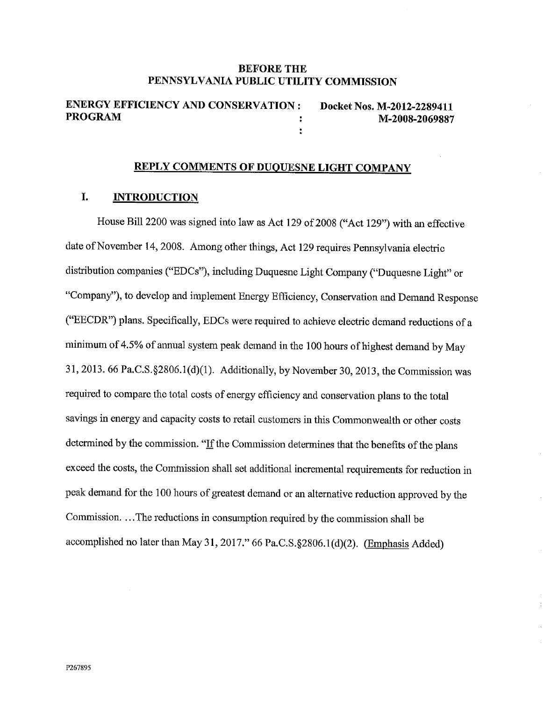#### **BEFORE THE PENNSYLVANIA PUBLIC UTILITY COMMISSION**

**ENERGY EFFICIENCY AND CONSERVATION : Docket Nos. M-2012-2289411<br>PROGRAM M-2008-2060897 PROGRAM M-2008-2069887**  $\ddot{\cdot}$ 

# **REPLY COMMENTS OF DUOUESNE LIGHT COMPANY**

#### **I. INTRODUCTION**

House Bill 2200 was signed into law as Act 129 of 2008 ("Act 129") with an effective date of November 14, 2008. Among other things, Act 129 requires Pennsylvania electric distribution companies ("EDCs"), including Duquesne Light Company ("Duquesne Light" or "Company"), to develop and implement Energy Efficiency, Conservation and Demand Response ("EECDR") plans. Specifically, EDCs were required to achieve electric demand reductions of a minimum of 4.5% of annual system peak demand in the 100 hours of highest demand by May 31, 2013. 66 Pa.C.S.§2806.1(d)(l). Additionally, by November 30, 2013, the Commission was required to compare the total costs of energy efficiency and conservation plans to the total savings in energy and capacity costs to retail customers in this Commonwealth or other costs determined by the commission. "If the Commission determines that the benefits of the plans exceed the costs, the Commission shall set additional incremental requirements for reduction in peak demand for the 100 hours of greatest demand or an alternative reduction approved by the Commission....The reductions in consumption required by the commission shall be accomplished no later than May 31, 2017." 66 Pa.C.S.§2806.1(d)(2). (Emphasis Added)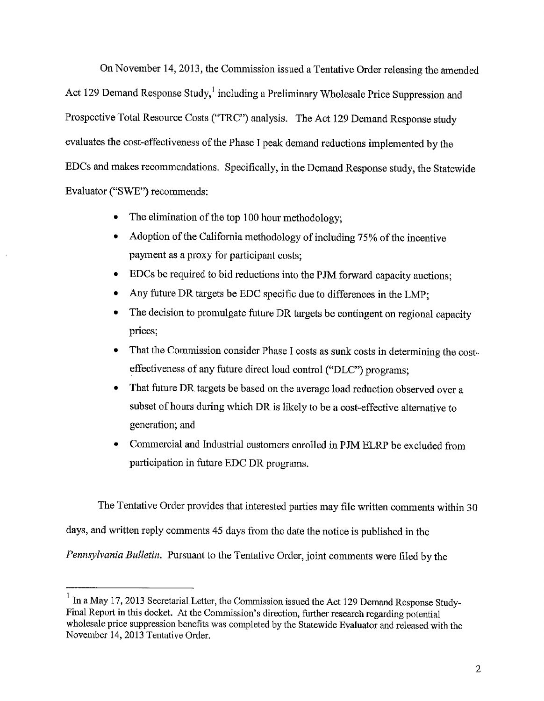On November 14, 2013, the Commission issued a Tentative Order releasing the amended Act 129 Demand Response Study,<sup>1</sup> including a Preliminary Wholesale Price Suppression and Prospective Total Resource Costs ("TRC") analysis. The Act 129 Demand Response study evaluates the cost-effectiveness of the Phase I peak demand reductions implemented by the EDCs and makes recommendations. Specifically, in the Demand Response study, the Statewide Evaluator ("SWE") recommends:

- The elimination of the top 100 hour methodology;
- Adoption of the California methodology of including 75% of the incentive payment as a proxy for participant costs;
- EDCs be required to bid reductions into the PJM forward capacity auctions;
- Any future DR targets be EDC specific due to differences in the LMP;
- The decision to promulgate future DR targets be contingent on regional capacity prices;
- That the Commission consider Phase I costs as sunk costs in determining the costeffectiveness of any future direct load control ("DLC") programs;
- + That future DR targets be based on the average load reduction observed over a subset of hours during which DR is likely to be a cost-effective alternative to generation; and
- Commercial and Industrial customers enrolled in PJM ELRP be excluded from participation in future EDC DR programs.

The Tentative Order provides that interested parties may file written comments within 30 days, and written reply comments 45 days from the date the notice is published in the *Pennsylvania Bulletin.* Pursuant to the Tentative Order, joint comments were filed by the

 $1$  In a May 17, 2013 Secretarial Letter, the Commission issued the Act 129 Demand Response Study-Final Report in this docket. At the Commission's direction, further research regarding potential wholesale price suppression benefits was completed by the Statewide Evaluator and released with the November 14, 2013 Tentative Order.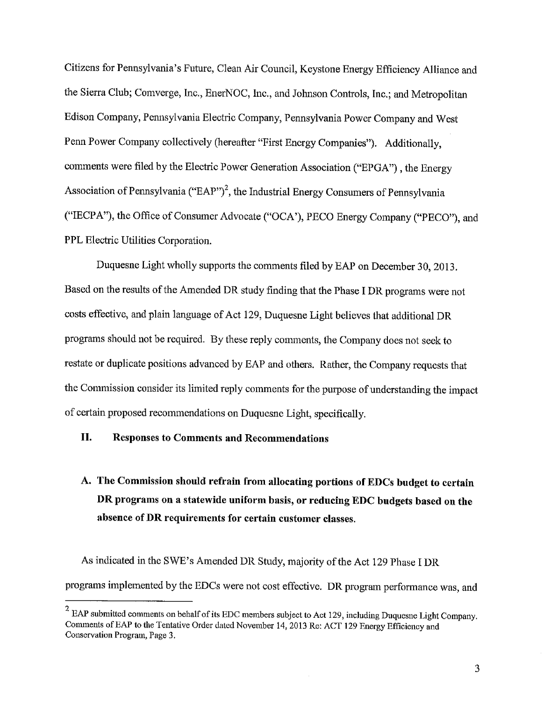Citizens for Pennsylvania's Future, Clean Air Council, Keystone Energy Efficiency Alliance and the Sierra Club; Comverge, Inc., EnerNOC, Inc,, and Johnson Controls, Inc.; and Metropolitan Edison Company, Pennsylvania Electric Company, Pennsylvania Power Company and West Penn Power Company collectively (hereafter "First Energy Companies"). Additionally, comments were filed by the Electric Power Generation Association ("EPGA") , the Energy Association of Pennsylvania ("EAP")<sup>2</sup>, the Industrial Energy Consumers of Pennsylvania ("IECPA"), the Office of Consumer Advocate ("OCA'), PECO Energy Company ("PECO"), and PPL Electric Utilities Corporation.

Duquesne Light wholly supports the comments filed by EAP on December 30, 2013. Based on the results of the Amended DR study finding that the Phase I DR programs were not costs effective, and plain language of Act 129, Duquesne Light believes that additional DR programs should not be required. By these reply comments, the Company does not seek to restate or duplicate positions advanced by EAP and others. Rather, the Company requests that the Commission consider its limited reply comments for the purpose of understanding the impact of certain proposed recommendations on Duquesne Light, specifically.

# **II. Responses to Comments and Recommendations**

# A. **The Commission should refrain from allocating portions of EDCs budget to certain DR programs on a statewide uniform basis, or reducing EDC budgets based on the absence of DR requirements for certain customer classes.**

As indicated in the SWE's Amended DR Study, majority of the Act 129 Phase I DR programs implemented by the EDCs were not cost effective. DR program performance was, and

 $2$  EAP submitted comments on behalf of its EDC members subject to Act 129, including Duquesne Light Company. Comments of EAP to the Tentative Order dated November 14, 2013 Re: ACT 129 Energy Efficiency and Conservation Program, Page 3.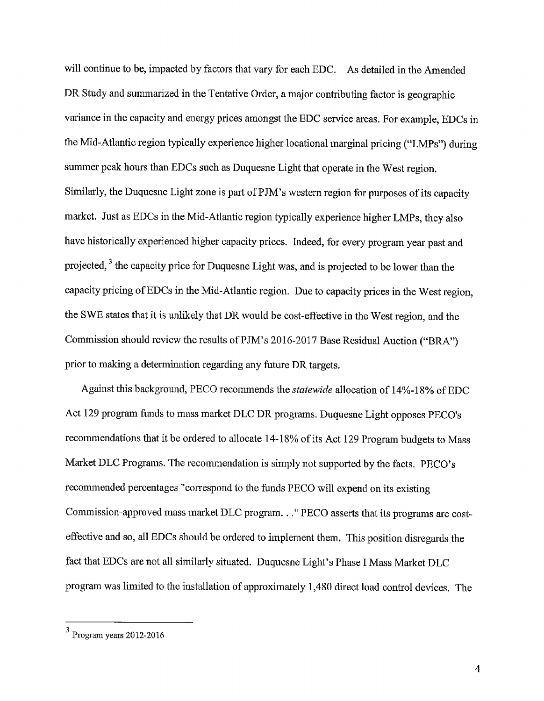will continue to be, impacted by factors that vary for each EDC. As detailed in the Amended DR Study and summarized in the Tentative Order, a major contributing factor is geographic variance in the capacity and energy prices amongst the EDC service areas. For example, EDCs in the Mid-Atlantic region typically experience higher locational marginal pricing ("LMPs") during summer peak hours than EDCs such as Duquesne Light that operate in the West region. Similarly, the Duquesne Light zone is part of PJM's western region for purposes of its capacity market. Just as EDCs in the Mid-Atlantic region typically experience higher LMPs, they also have historically experienced higher capacity prices. Indeed, for every program year past and projected, <sup>3</sup> the capacity price for Duquesne Light was, and is projected to be lower than the capacity pricing of EDCs in the Mid-Atlantic region. Due to capacity prices in the West region, the SWE states that it is unlikely that DR would be cost-effective in the West region, and the Commission should review the results of PJM's 2016-2017 Base Residual Auction ("BRA") prior to making a determination regarding any future DR targets.

Against this background, PECO recommends the *statewide* allocation of 14%-18% of EDC Act 129 program funds to mass market DLC DR programs. Duquesne Light opposes PECO's recommendations that it be ordered to allocate 14-18% of its Act 129 Program budgets to Mass Market DLC Programs. The recommendation is simply not supported by the facts. PECO's recommended percentages "correspond to the funds PECO will expend on its existing Commission-approved mass market DLC program..." PECO asserts that its programs are costeffective and so, all EDCs should be ordered to implement them. This position disregards the fact that EDCs are not all similarly situated. Duquesne Light's Phase I Mass Market DLC program was limited to the installation of approximately 1,480 direct load control devices. The

<sup>3</sup> Program years 2012-2016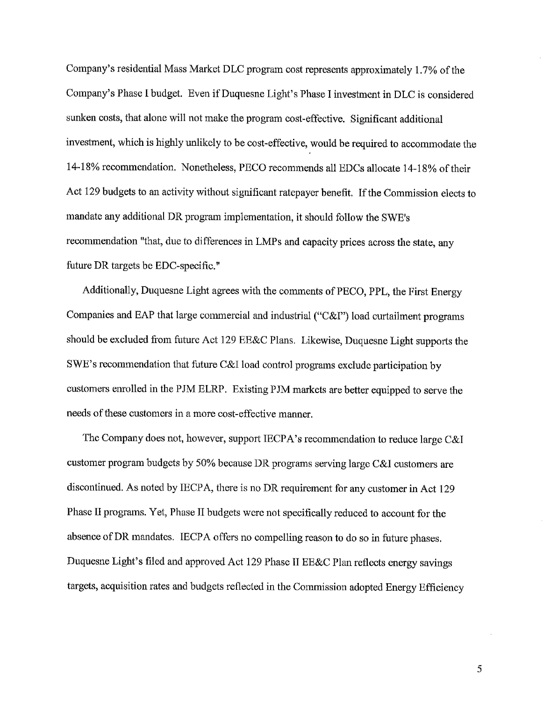Company's residential Mass Market DLC program cost represents approximately 1.7% of the Company's Phase I budget. Even if Duquesne Light's Phase I investment in DLC is considered sunken costs, that alone will not make the program cost-effective. Significant additional investment, which is highly unlikely to be cost-effective, would be required to accommodate the 14-18% recommendation. Nonetheless, PECO recommends all EDCs allocate 14-18% of their Act 129 budgets to an activity without significant ratepayer benefit. If the Commission elects to mandate any additional DR program implementation, it should follow the SWE's recommendation "that, due to differences in LMPs and capacity prices across the state, any future DR targets be EDC-specific."

Additionally, Duquesne Light agrees with the comments of PECO, PPL, the First Energy Companies and EAP that large commercial and industrial ("C&I") load curtailment programs should be excluded from future Act 129 EE&C Plans. Likewise, Duquesne Light supports the SWE's recommendation that future C&I load control programs exclude participation by customers enrolled in the PJM ELRP. Existing PJM markets are better equipped to serve the needs of these customers in a more cost-effective manner.

The Company does not, however, support IECPA's recommendation to reduce large C&I customer program budgets by 50% because DR programs serving large C&I customers are discontinued. As noted by IECPA, there is no DR requirement for any customer in Act 129 Phase II programs. Yet, Phase II budgets were not specifically reduced to account for the absence of DR mandates. IECPA offers no compelling reason to do so in future phases. Duquesne Light's filed and approved Act 129 Phase II EE&C Plan reflects energy savings targets, acquisition rates and budgets reflected in the Commission adopted Energy Efficiency

5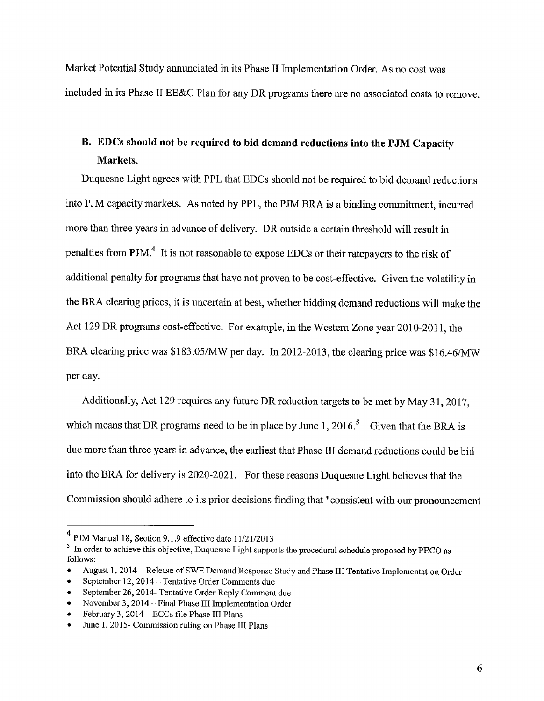Market Potential Study annunciated in its Phase II Implementation Order. As no cost was included in its Phase II EE&C Plan for any DR programs there are no associated costs to remove.

# **B. EDCs should not be required to bid demand reductions into the PJM Capacity Markets.**

Duquesne Light agrees with PPL that EDCs should not be required to bid demand reductions into PJM capacity markets. As noted by PPL, the PJM BRA is a binding commitment, incurred more than three years in advance of delivery. DR outside a certain threshold will result in penalties from PJM.<sup>4</sup> It is not reasonable to expose EDCs or their ratepayers to the risk of additional penalty for programs that have not proven to be cost-effective. Given the volatility in the BRA clearing prices, it is uncertain at best, whether bidding demand reductions will make the Act 129 DR programs cost-effective. For example, in the Western Zone year 2010-2011, the BRA clearing price was  $$183.05/MW$  per day. In 2012-2013, the clearing price was  $$16.46/MW$ per day.

Additionally, Act 129 requires any future DR reduction targets to be met by May 31, 2017, which means that DR programs need to be in place by June 1, 2016.<sup>5</sup> Given that the BRA is due more than three years in advance, the earliest that Phase III demand reductions could be bid into the BRA for delivery is 2020-2021. For these reasons Duquesne Light believes that the Commission should adhere to its prior decisions finding that "consistent with our pronouncement

 $4$  PJM Manual 18, Section 9.1.9 effective date 11/21/2013

<sup>&</sup>lt;sup>5</sup> In order to achieve this objective, Duquesne Light supports the procedural schedule proposed by PECO as follows:

<sup>•</sup> August 1, 2014 - Release of SWE Demand Response Study and Phase III Tentative Implementation Order

September 12, 2014 -- Tentative Order Comments due

<sup>•</sup> September 26, 2014- Tentative Order Reply Comment due

<sup>•</sup> November 3, 2014 – Final Phase III Implementation Order

<sup>•</sup> February 3, 2014 - ECCs file Phase III Plans

<sup>•</sup> June 1, 2015- Commission ruling on Phase III Plans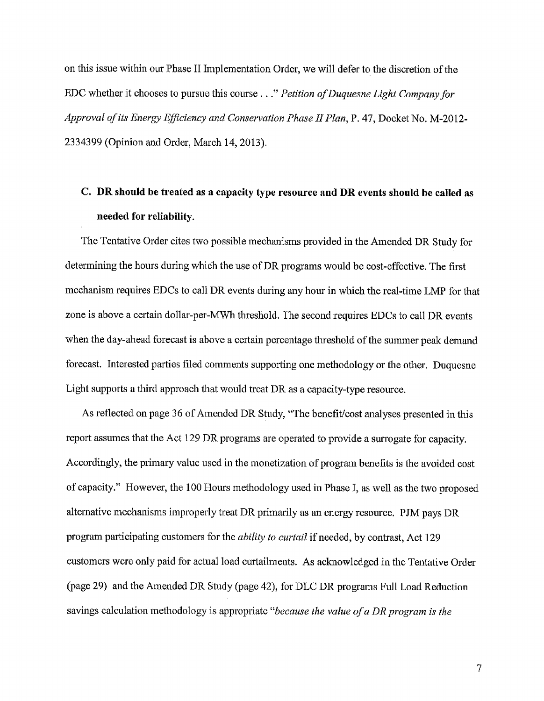on this issue within our Phase II Implementation Order, we will defer to the discretion of the EDC whether it chooses to pursue this course . . ." *Petition ofDuquesne Light Company for Approval of its Energy Efficiency and Conservation Phase II Plan,* P. 47, Docket No. M-2012- 2334399 (Opinion and Order, March 14, 2013).

# **C. DR should be treated as a capacity type resource and DR events should be called as needed for reliability.**

The Tentative Order cites two possible mechanisms provided in the Amended DR Study for determining the hours during which the use of DR programs would be cost-effective. The first mechanism requires EDCs to call DR events during any hour in which the real-time LMP for that zone is above a certain dollar-per-MWh threshold. The second requires EDCs to call DR events when the day-ahead forecast is above a certain percentage threshold of the summer peak demand forecast. Interested parties filed comments supporting one methodology or the other. Duquesne Light supports a third approach that would treat DR as a capacity-type resource.

As reflected on page 36 of Amended DR Study, "The benefit/cost analyses presented in this report assumes that the Act 129 DR programs are operated to provide a surrogate for capacity. Accordingly, the primary value used in the monetization of program benefits is the avoided cost of capacity." However, the 100 Hours methodology used in Phase I, as well as the two proposed alternative mechanisms improperly treat DR primarily as an energy resource. PJM pays DR program participating customers for the *ability to curtail* if needed, by contrast, Act 129 customers were only paid for actual load curtailments. As acknowledged in the Tentative Order (page 29) and the Amended DR Study (page 42), for DLC DR programs Full Load Reduction savings calculation methodology is appropriate *"because the value of a DR program is the*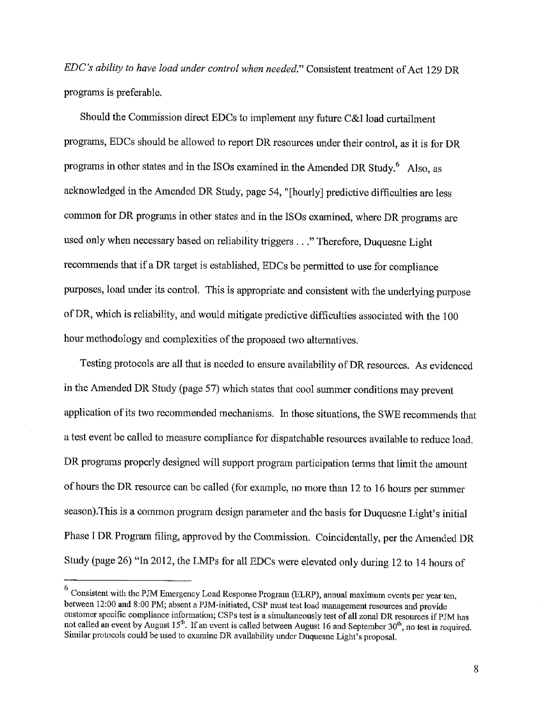*EDC's ability to have load under control when needed."* Consistent treatment of Act 129 DR programs is preferable.

Should the Commission direct EDCs to implement any future C&I load curtailment programs, EDCs should be allowed to report DR resources under their control, as it is for DR programs in other states and in the ISOs examined in the Amended DR Study. <sup>6</sup> Also, as acknowledged in the Amended DR Study, page 54, "[hourly] predictive difficulties are less common for DR programs in other states and in the ISOs examined, where DR programs are used only when necessary based on reliability triggers . . ." Therefore, Duquesne Light recommends that if a DR target is established, EDCs be permitted to use for compliance purposes, load under its control. This is appropriate and consistent with the underlying purpose of DR, which is reliability, and would mitigate predictive difficulties associated with the 100 hour methodology and complexities of the proposed two alternatives.

Testing protocols are all that is needed to ensure availability of DR resources. As evidenced in the Amended DR Study (page 57) which states that cool summer conditions may prevent application of its two recommended mechanisms. In those situations, the SWE recommends that a test event be called to measure compliance for dispatchable resources available to reduce load. DR programs properly designed will support program participation terms that limit the amount of hours the DR resource can be called (for example, no more than 12 to 16 hours per summer season).This is a common program design parameter and the basis for Duquesne Light's initial Phase I DR Program filing, approved by the Commission. Coincidentally, per the Amended DR Study (page 26) "In 2012, the LMPs for all EDCs were elevated only during 12 to 14 hours of

<sup>&</sup>lt;sup>6</sup> Consistent with the PJM Emergency Load Response Program (ELRP), annual maximum events per year ten, between 12:00 and 8:00 PM; absent a PJM-initiated, CSP must test load management resources and provide customer specific compliance information; CSPs test is a simultaneously test of all zonal DR resources if PJM has not called an event by August 15<sup>th</sup>. If an event is called between August 16 and September 30<sup>th</sup>, no test is required. Similar protocols could be used to examine DR availability under Duquesne Light's proposal.